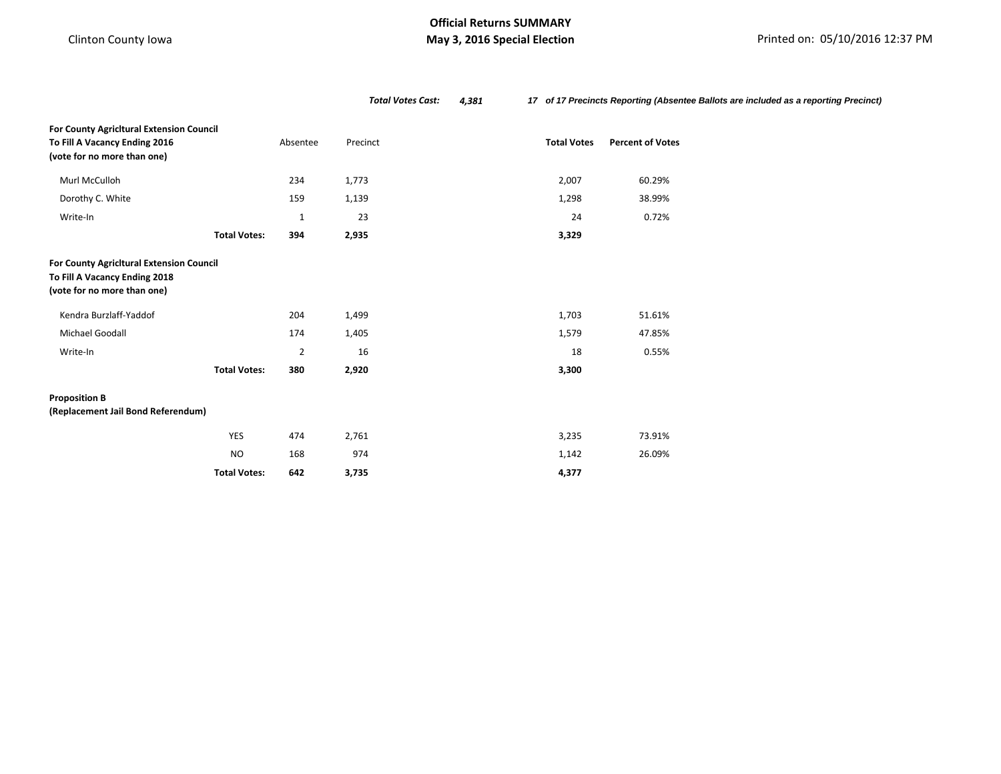# **May 3, 2016 Special Election May 3, 2016 Special Election Printed on: 05/10/2016 12:37 PM**

|                                                                                                          |                     |                | <b>Total Votes Cast:</b><br>4,381 |                    | 17 of 17 Precincts Reporting (Absentee Ballots are included as a reporting Precinct) |  |
|----------------------------------------------------------------------------------------------------------|---------------------|----------------|-----------------------------------|--------------------|--------------------------------------------------------------------------------------|--|
| For County Agricitural Extension Council<br>To Fill A Vacancy Ending 2016<br>(vote for no more than one) |                     | Absentee       | Precinct                          | <b>Total Votes</b> | <b>Percent of Votes</b>                                                              |  |
| Murl McCulloh                                                                                            |                     | 234            | 1,773                             | 2,007              | 60.29%                                                                               |  |
| Dorothy C. White                                                                                         |                     | 159            | 1,139                             | 1,298              | 38.99%                                                                               |  |
| Write-In                                                                                                 |                     | $\mathbf{1}$   | 23                                | 24                 | 0.72%                                                                                |  |
|                                                                                                          | <b>Total Votes:</b> | 394            | 2,935                             | 3,329              |                                                                                      |  |
| For County Agricitural Extension Council<br>To Fill A Vacancy Ending 2018<br>(vote for no more than one) |                     |                |                                   |                    |                                                                                      |  |
| Kendra Burzlaff-Yaddof                                                                                   |                     | 204            | 1,499                             | 1,703              | 51.61%                                                                               |  |
| Michael Goodall                                                                                          |                     | 174            | 1,405                             | 1,579              | 47.85%                                                                               |  |
| Write-In                                                                                                 |                     | $\overline{2}$ | 16                                | 18                 | 0.55%                                                                                |  |
|                                                                                                          | <b>Total Votes:</b> | 380            | 2,920                             | 3,300              |                                                                                      |  |
| <b>Proposition B</b><br>(Replacement Jail Bond Referendum)                                               |                     |                |                                   |                    |                                                                                      |  |
|                                                                                                          | <b>YES</b>          | 474            | 2,761                             | 3,235              | 73.91%                                                                               |  |
|                                                                                                          | <b>NO</b>           | 168            | 974                               | 1,142              | 26.09%                                                                               |  |
|                                                                                                          | <b>Total Votes:</b> | 642            | 3,735                             | 4,377              |                                                                                      |  |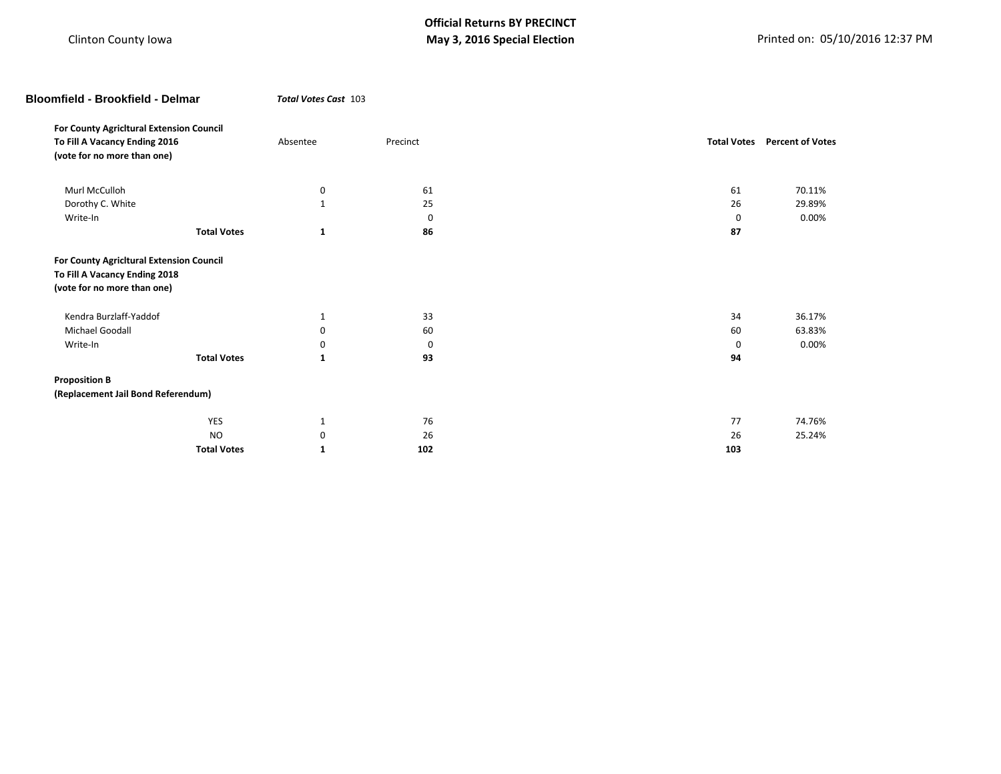| <b>Bloomfield - Brookfield - Delmar</b>                                                                  |                    | Total Votes Cast 103 |             |  |     |                                     |
|----------------------------------------------------------------------------------------------------------|--------------------|----------------------|-------------|--|-----|-------------------------------------|
| For County Agricitural Extension Council                                                                 |                    |                      |             |  |     |                                     |
| To Fill A Vacancy Ending 2016<br>(vote for no more than one)                                             |                    | Absentee             | Precinct    |  |     | <b>Total Votes</b> Percent of Votes |
| Murl McCulloh                                                                                            |                    | 0                    | 61          |  | 61  | 70.11%                              |
| Dorothy C. White                                                                                         |                    | $\mathbf{1}$         | 25          |  | 26  | 29.89%                              |
| Write-In                                                                                                 |                    |                      | $\mathbf 0$ |  | 0   | 0.00%                               |
|                                                                                                          | <b>Total Votes</b> | $\mathbf{1}$         | 86          |  | 87  |                                     |
| For County Agricitural Extension Council<br>To Fill A Vacancy Ending 2018<br>(vote for no more than one) |                    |                      |             |  |     |                                     |
| Kendra Burzlaff-Yaddof                                                                                   |                    | 1                    | 33          |  | 34  | 36.17%                              |
| Michael Goodall                                                                                          |                    | 0                    | 60          |  | 60  | 63.83%                              |
| Write-In                                                                                                 |                    | 0                    | 0           |  | 0   | 0.00%                               |
|                                                                                                          | <b>Total Votes</b> | $\mathbf{1}$         | 93          |  | 94  |                                     |
| <b>Proposition B</b>                                                                                     |                    |                      |             |  |     |                                     |
| (Replacement Jail Bond Referendum)                                                                       |                    |                      |             |  |     |                                     |
|                                                                                                          | <b>YES</b>         | $\mathbf{1}$         | 76          |  | 77  | 74.76%                              |
|                                                                                                          | <b>NO</b>          | 0                    | 26          |  | 26  | 25.24%                              |
|                                                                                                          | <b>Total Votes</b> | 1                    | 102         |  | 103 |                                     |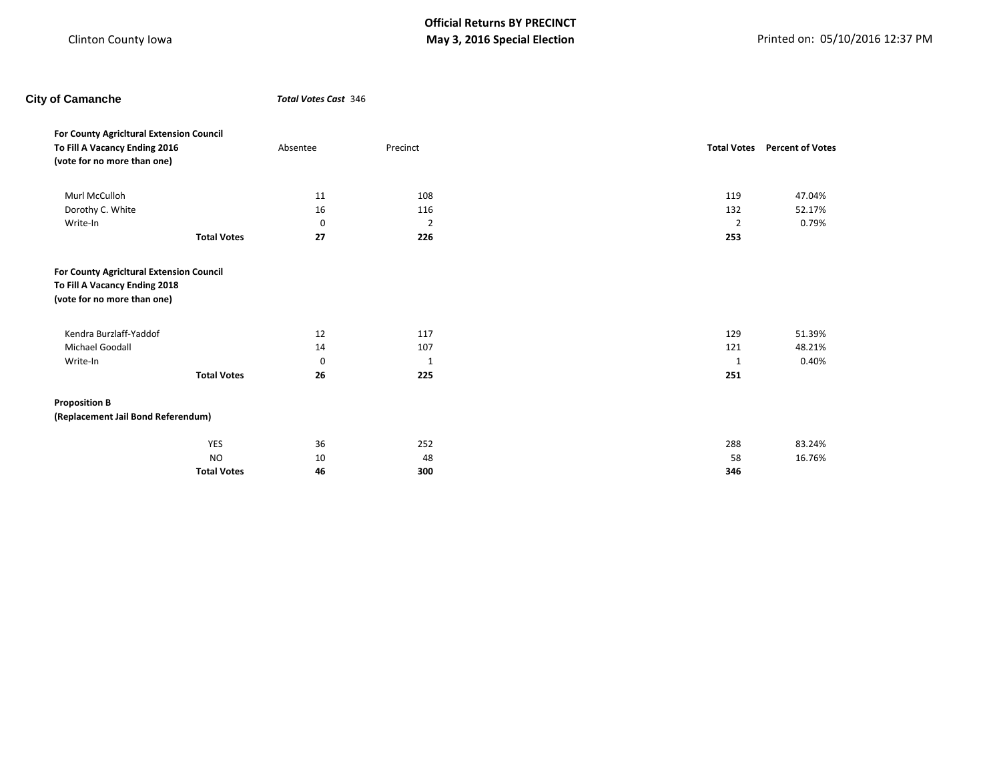| <b>City of Camanche</b>                                                                                  |                    |             | <b>Total Votes Cast 346</b> |  |                |                                     |  |
|----------------------------------------------------------------------------------------------------------|--------------------|-------------|-----------------------------|--|----------------|-------------------------------------|--|
| For County Agricitural Extension Council<br>To Fill A Vacancy Ending 2016<br>(vote for no more than one) |                    | Absentee    | Precinct                    |  |                | <b>Total Votes</b> Percent of Votes |  |
| Murl McCulloh                                                                                            |                    | 11          | 108                         |  | 119            | 47.04%                              |  |
| Dorothy C. White                                                                                         |                    | 16          | 116                         |  | 132            | 52.17%                              |  |
| Write-In                                                                                                 |                    | 0           | $\overline{2}$              |  | $\overline{2}$ | 0.79%                               |  |
|                                                                                                          | <b>Total Votes</b> | 27          | 226                         |  | 253            |                                     |  |
| To Fill A Vacancy Ending 2018<br>(vote for no more than one)                                             |                    |             |                             |  |                |                                     |  |
| Kendra Burzlaff-Yaddof                                                                                   |                    | 12          | 117                         |  | 129            | 51.39%                              |  |
| Michael Goodall                                                                                          |                    | 14          | 107                         |  | 121            | 48.21%                              |  |
| Write-In                                                                                                 |                    | $\mathbf 0$ | 1                           |  | 1              | 0.40%                               |  |
|                                                                                                          | <b>Total Votes</b> | 26          | 225                         |  | 251            |                                     |  |
| <b>Proposition B</b>                                                                                     |                    |             |                             |  |                |                                     |  |
| (Replacement Jail Bond Referendum)                                                                       |                    |             |                             |  |                |                                     |  |
|                                                                                                          | YES                | 36          | 252                         |  | 288            | 83.24%                              |  |
|                                                                                                          | <b>NO</b>          | 10          | 48                          |  | 58             | 16.76%                              |  |
|                                                                                                          | <b>Total Votes</b> | 46          | 300                         |  | 346            |                                     |  |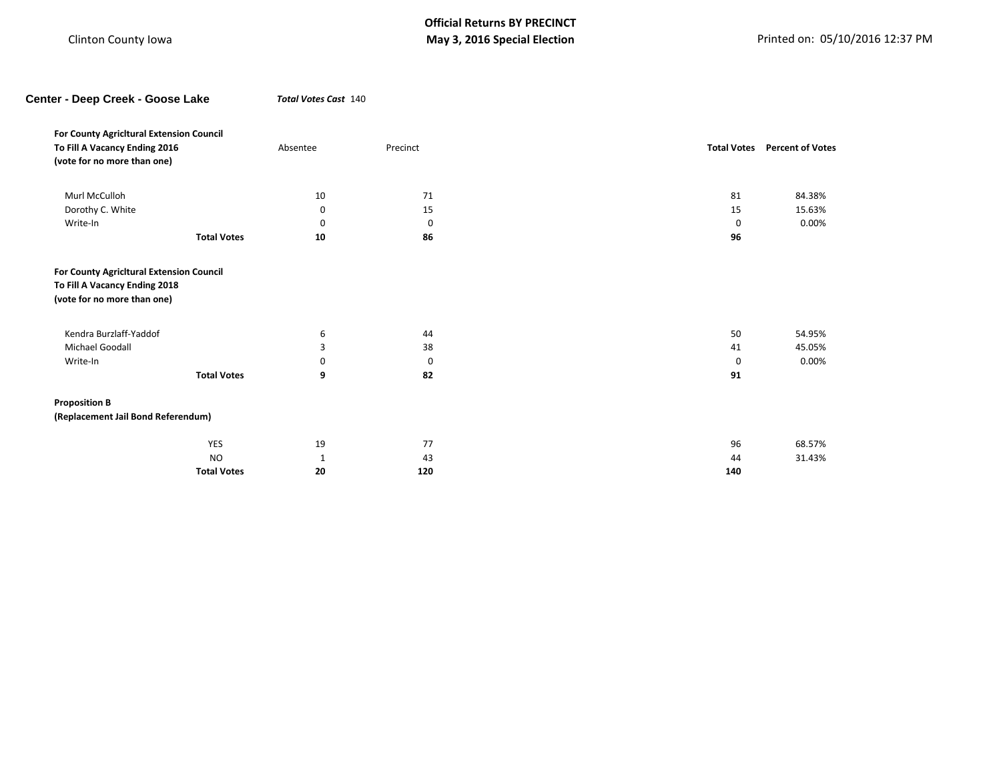| Center - Deep Creek - Goose Lake         | Total Votes Cast 140 |          |                    |                         |
|------------------------------------------|----------------------|----------|--------------------|-------------------------|
| For County Agricitural Extension Council |                      |          |                    |                         |
| To Fill A Vacancy Ending 2016            | Absentee             | Precinct | <b>Total Votes</b> | <b>Percent of Votes</b> |
| (vote for no more than one)              |                      |          |                    |                         |
| Murl McCulloh                            | 10                   | 71       | 81                 | 84.38%                  |
| Dorothy C. White                         | 0                    | 15       | 15                 | 15.63%                  |
| Write-In                                 | 0                    | 0        | $\mathbf 0$        | 0.00%                   |
| <b>Total Votes</b>                       | 10                   | 86       | 96                 |                         |
| (vote for no more than one)              |                      |          |                    |                         |
| Kendra Burzlaff-Yaddof                   | 6                    | 44       | 50                 | 54.95%                  |
| Michael Goodall                          | 3                    | 38       | 41                 | 45.05%                  |
| Write-In                                 | 0                    | 0        | 0                  | 0.00%                   |
| <b>Total Votes</b>                       | 9                    | 82       | 91                 |                         |
| <b>Proposition B</b>                     |                      |          |                    |                         |
| (Replacement Jail Bond Referendum)       |                      |          |                    |                         |
| YES                                      | 19                   | 77       | 96                 | 68.57%                  |
| <b>NO</b>                                | 1                    | 43       | 44                 | 31.43%                  |
| <b>Total Votes</b>                       | 20                   | 120      | 140                |                         |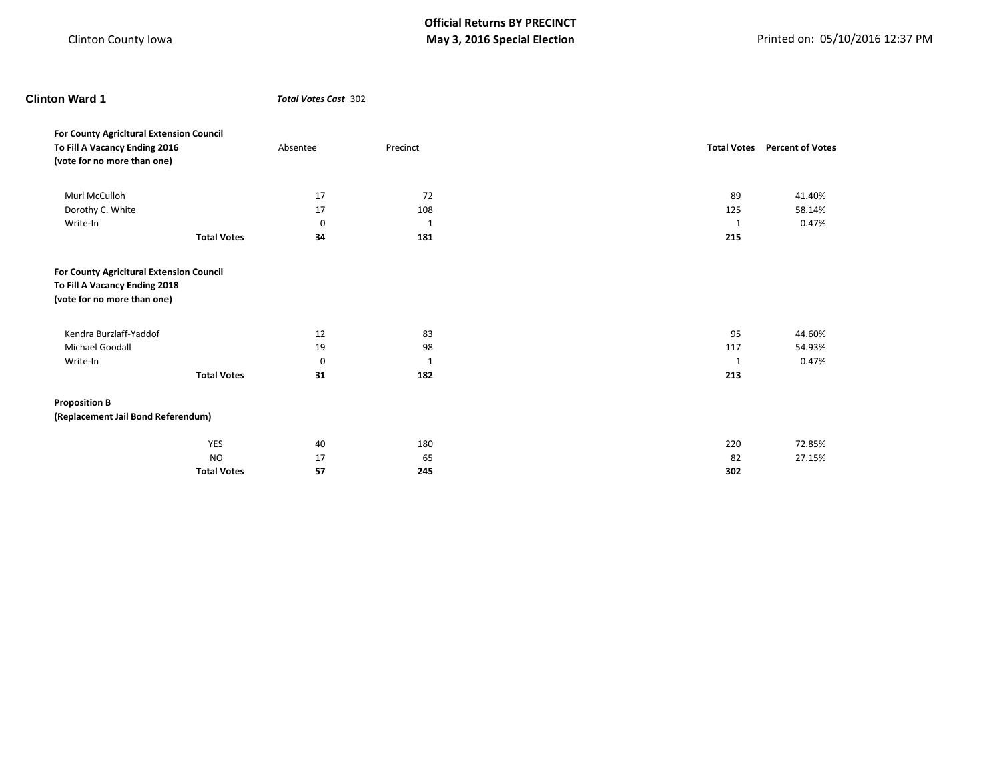YES 40 180 220 72.85% NO  $17$  65 65 82 27.15%

**Total Votes 57 245 302**

**Total Votes** Percent of Votes

| <b>Clinton Ward 1</b>                                                     |                    |             | <b>Total Votes Cast 302</b> |  |                    |                       |
|---------------------------------------------------------------------------|--------------------|-------------|-----------------------------|--|--------------------|-----------------------|
| For County Agricitural Extension Council<br>To Fill A Vacancy Ending 2016 |                    | Absentee    | Precinct                    |  | <b>Total Votes</b> | <b>Percent of Vot</b> |
| (vote for no more than one)                                               |                    |             |                             |  |                    |                       |
| Murl McCulloh                                                             |                    | 17          | 72                          |  | 89                 | 41.40%                |
| Dorothy C. White                                                          |                    | 17          | 108                         |  | 125                | 58.14%                |
| Write-In                                                                  |                    | 0           | 1                           |  | 1                  | 0.47%                 |
|                                                                           | <b>Total Votes</b> | 34          | 181                         |  | 215                |                       |
| For County Agricitural Extension Council                                  |                    |             |                             |  |                    |                       |
| To Fill A Vacancy Ending 2018                                             |                    |             |                             |  |                    |                       |
| (vote for no more than one)                                               |                    |             |                             |  |                    |                       |
| Kendra Burzlaff-Yaddof                                                    |                    | 12          | 83                          |  | 95                 | 44.60%                |
| Michael Goodall                                                           |                    | 19          | 98                          |  | 117                | 54.93%                |
| Write-In                                                                  |                    | $\mathbf 0$ | 1                           |  | $\mathbf{1}$       | 0.47%                 |
|                                                                           | <b>Total Votes</b> | 31          | 182                         |  | 213                |                       |
| <b>Proposition B</b>                                                      |                    |             |                             |  |                    |                       |
| (Replacement Jail Bond Referendum)                                        |                    |             |                             |  |                    |                       |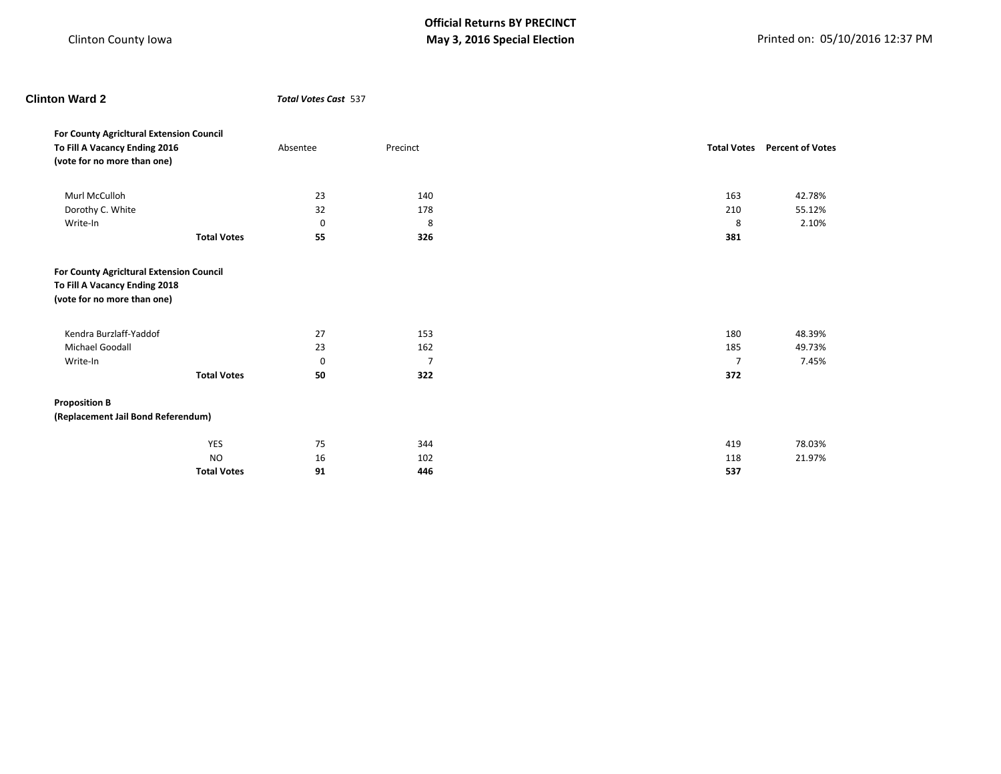## **Clinton Ward 2** *Total Votes Cast* 537

| For County Agricitural Extension Council<br>To Fill A Vacancy Ending 2016<br>(vote for no more than one) |                    | Absentee | Precinct       |                | <b>Total Votes</b> Percent of Votes |
|----------------------------------------------------------------------------------------------------------|--------------------|----------|----------------|----------------|-------------------------------------|
| Murl McCulloh                                                                                            |                    | 23       | 140            | 163            | 42.78%                              |
| Dorothy C. White                                                                                         |                    | 32       | 178            | 210            | 55.12%                              |
| Write-In                                                                                                 |                    | 0        | 8              | 8              | 2.10%                               |
|                                                                                                          | <b>Total Votes</b> | 55       | 326            | 381            |                                     |
| For County Agricitural Extension Council<br>To Fill A Vacancy Ending 2018<br>(vote for no more than one) |                    |          |                |                |                                     |
| Kendra Burzlaff-Yaddof                                                                                   |                    | 27       | 153            | 180            | 48.39%                              |
| Michael Goodall                                                                                          |                    | 23       | 162            | 185            | 49.73%                              |
| Write-In                                                                                                 |                    | 0        | $\overline{7}$ | $\overline{7}$ | 7.45%                               |
|                                                                                                          | <b>Total Votes</b> | 50       | 322            | 372            |                                     |
| <b>Proposition B</b><br>(Replacement Jail Bond Referendum)                                               |                    |          |                |                |                                     |
|                                                                                                          | YES                | 75       | 344            | 419            | 78.03%                              |
|                                                                                                          | <b>NO</b>          | 16       | 102            | 118            | 21.97%                              |
|                                                                                                          | <b>Total Votes</b> | 91       | 446            | 537            |                                     |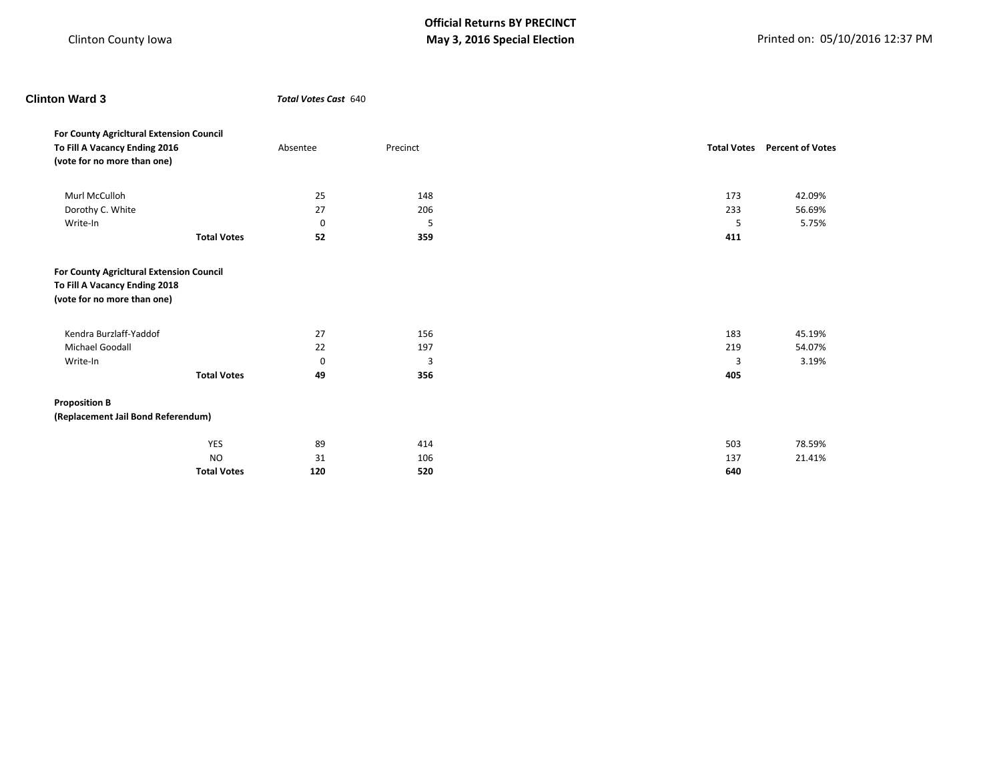| <b>Clinton Ward 3</b>                                                     |                    | Total Votes Cast 640 |          |          |                                     |
|---------------------------------------------------------------------------|--------------------|----------------------|----------|----------|-------------------------------------|
| For County Agricitural Extension Council<br>To Fill A Vacancy Ending 2016 |                    | Absentee             | Precinct |          | <b>Total Votes</b> Percent of Votes |
| (vote for no more than one)                                               |                    |                      |          |          |                                     |
| Murl McCulloh                                                             |                    | 25                   | 148      | 173      | 42.09%                              |
| Dorothy C. White                                                          |                    | 27                   | 206      | 233      | 56.69%                              |
| Write-In                                                                  |                    | $\mathbf 0$          | 5        | 5        | 5.75%                               |
|                                                                           | <b>Total Votes</b> | 52                   | 359      | 411      |                                     |
| (vote for no more than one)                                               |                    |                      |          |          |                                     |
| Kendra Burzlaff-Yaddof                                                    |                    | 27                   | 156      | 183      | 45.19%                              |
| Michael Goodall                                                           |                    | 22                   | 197      | 219      | 54.07%                              |
| Write-In                                                                  | <b>Total Votes</b> | $\mathbf 0$<br>49    | 3<br>356 | 3<br>405 | 3.19%                               |
| <b>Proposition B</b>                                                      |                    |                      |          |          |                                     |
| (Replacement Jail Bond Referendum)                                        |                    |                      |          |          |                                     |
|                                                                           | <b>YES</b>         | 89                   | 414      | 503      | 78.59%                              |
|                                                                           | <b>NO</b>          | 31                   | 106      | 137      | 21.41%                              |
|                                                                           | <b>Total Votes</b> | 120                  | 520      | 640      |                                     |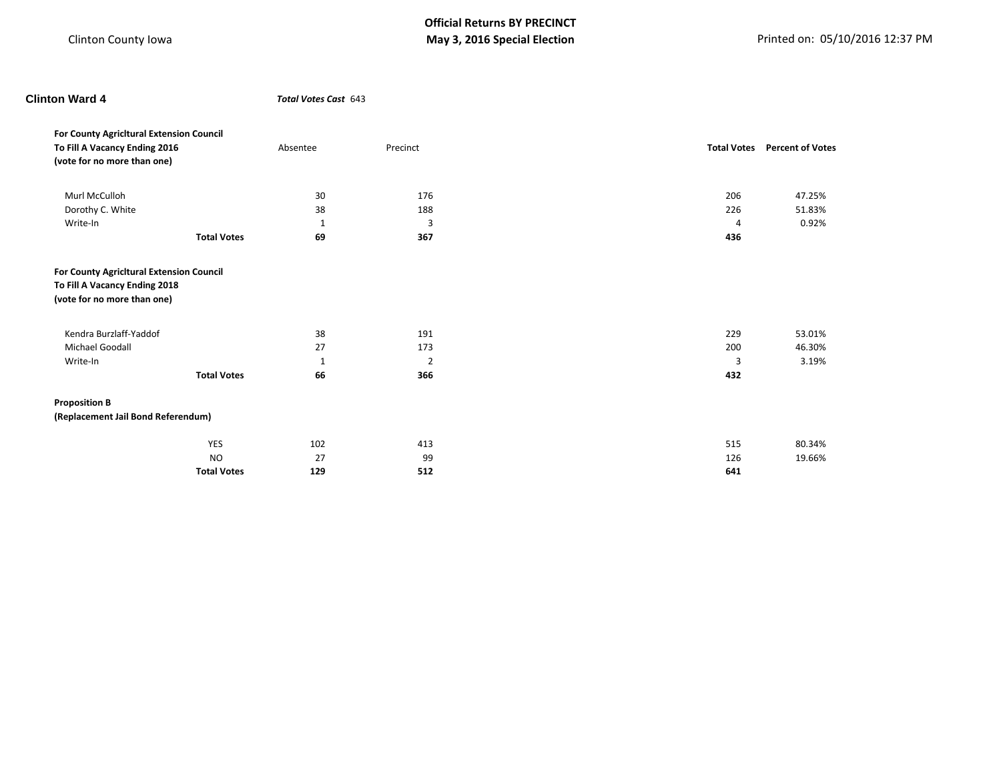# **Clinton Ward 4** *Total Votes Cast* 643

| For County Agricitural Extension Council<br>To Fill A Vacancy Ending 2016<br>(vote for no more than one) |                    | Absentee     | Precinct       |     | <b>Total Votes</b> Percent of Votes |
|----------------------------------------------------------------------------------------------------------|--------------------|--------------|----------------|-----|-------------------------------------|
| Murl McCulloh                                                                                            |                    | 30           | 176            | 206 | 47.25%                              |
| Dorothy C. White                                                                                         |                    | 38           | 188            | 226 | 51.83%                              |
| Write-In                                                                                                 |                    | $\mathbf{1}$ | 3              | 4   | 0.92%                               |
|                                                                                                          | <b>Total Votes</b> | 69           | 367            | 436 |                                     |
| For County Agricitural Extension Council<br>To Fill A Vacancy Ending 2018<br>(vote for no more than one) |                    |              |                |     |                                     |
| Kendra Burzlaff-Yaddof                                                                                   |                    | 38           | 191            | 229 | 53.01%                              |
| <b>Michael Goodall</b>                                                                                   |                    | 27           | 173            | 200 | 46.30%                              |
| Write-In                                                                                                 |                    | 1            | $\overline{2}$ | 3   | 3.19%                               |
|                                                                                                          | <b>Total Votes</b> | 66           | 366            | 432 |                                     |
| <b>Proposition B</b><br>(Replacement Jail Bond Referendum)                                               |                    |              |                |     |                                     |
|                                                                                                          | YES                | 102          | 413            | 515 | 80.34%                              |
|                                                                                                          | <b>NO</b>          | 27           | 99             | 126 | 19.66%                              |
|                                                                                                          | <b>Total Votes</b> | 129          | 512            | 641 |                                     |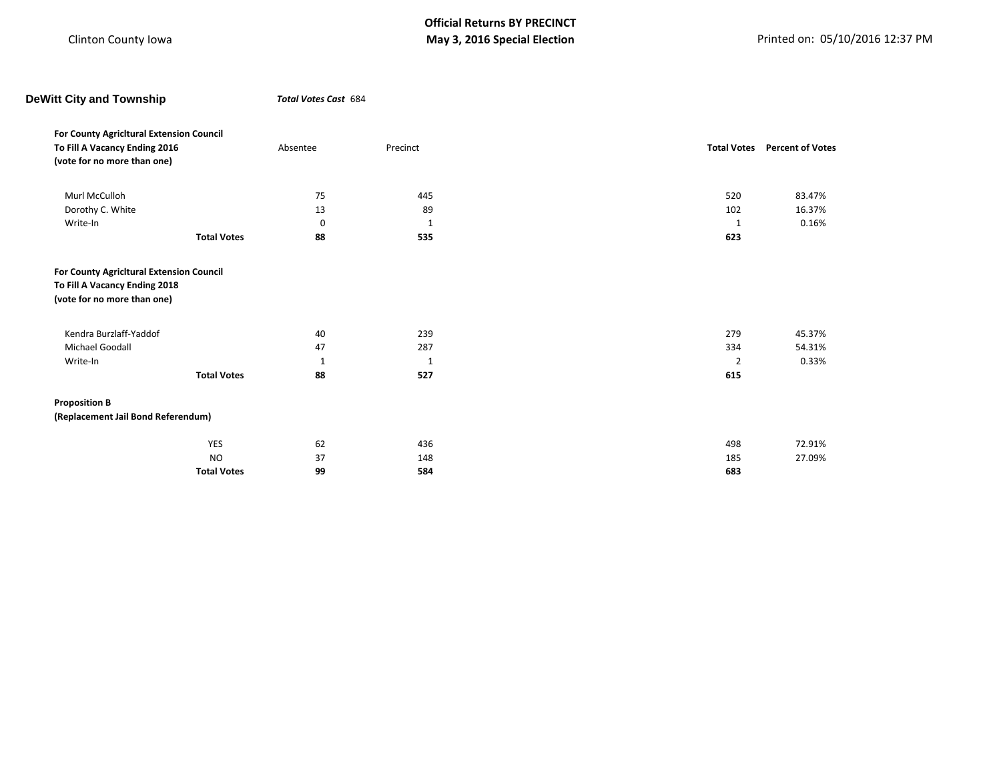| <b>DeWitt City and Township</b>                              |                    | Total Votes Cast 684 |          |                    |                         |  |
|--------------------------------------------------------------|--------------------|----------------------|----------|--------------------|-------------------------|--|
| For County Agricitural Extension Council                     |                    |                      |          |                    |                         |  |
| To Fill A Vacancy Ending 2016                                |                    | Absentee             | Precinct | <b>Total Votes</b> | <b>Percent of Votes</b> |  |
| (vote for no more than one)                                  |                    |                      |          |                    |                         |  |
| Murl McCulloh                                                |                    | 75                   | 445      | 520                | 83.47%                  |  |
| Dorothy C. White                                             |                    | 13                   | 89       | 102                | 16.37%                  |  |
| Write-In                                                     |                    | 0                    | 1        | 1                  | 0.16%                   |  |
|                                                              | <b>Total Votes</b> | 88                   | 535      | 623                |                         |  |
| To Fill A Vacancy Ending 2018<br>(vote for no more than one) |                    |                      |          |                    |                         |  |
| Kendra Burzlaff-Yaddof                                       |                    | 40                   | 239      | 279                | 45.37%                  |  |
| Michael Goodall                                              |                    | 47                   | 287      | 334                | 54.31%                  |  |
| Write-In                                                     |                    | 1                    | $1\,$    | $\overline{2}$     | 0.33%                   |  |
|                                                              | <b>Total Votes</b> | 88                   | 527      | 615                |                         |  |
| <b>Proposition B</b>                                         |                    |                      |          |                    |                         |  |
| (Replacement Jail Bond Referendum)                           |                    |                      |          |                    |                         |  |
|                                                              |                    |                      |          |                    |                         |  |
|                                                              | <b>YES</b>         | 62                   | 436      | 498                | 72.91%                  |  |
|                                                              | <b>NO</b>          | 37                   | 148      | 185                | 27.09%                  |  |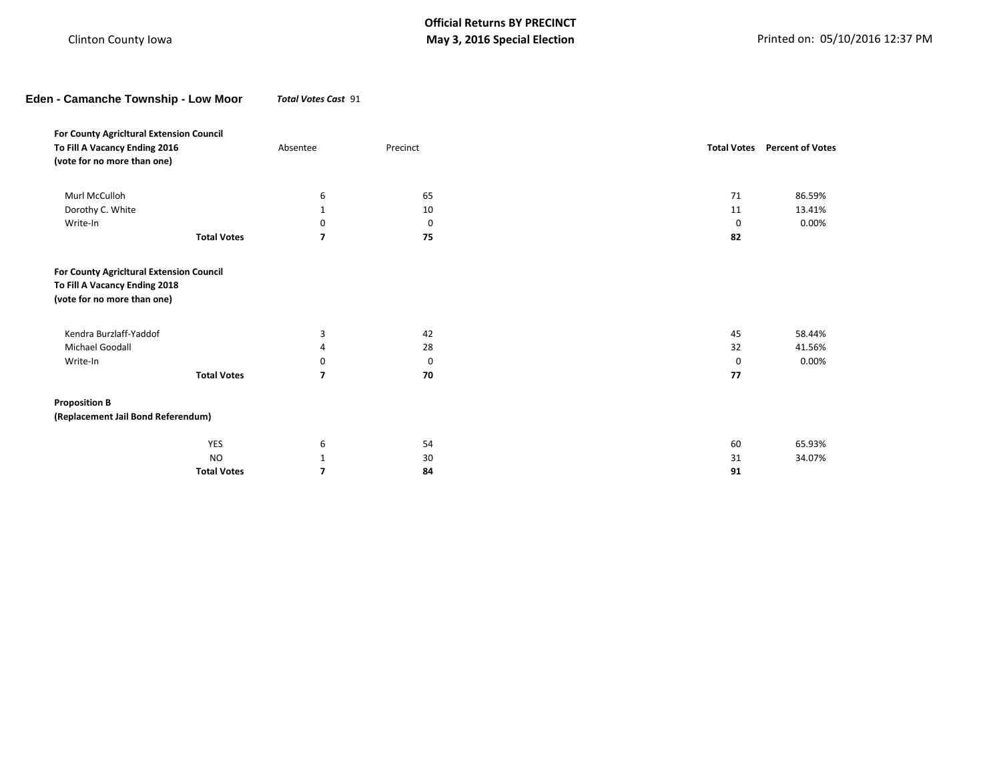**Eden - Camanche Township - Low Moor** *Total Votes Cast* 91

| For County Agricitural Extension Council                                                                 |                    |                |          |                    |                         |
|----------------------------------------------------------------------------------------------------------|--------------------|----------------|----------|--------------------|-------------------------|
| To Fill A Vacancy Ending 2016                                                                            |                    | Absentee       | Precinct | <b>Total Votes</b> | <b>Percent of Votes</b> |
| (vote for no more than one)                                                                              |                    |                |          |                    |                         |
|                                                                                                          |                    |                |          |                    |                         |
| Murl McCulloh                                                                                            |                    | 6              | 65       | 71                 | 86.59%                  |
| Dorothy C. White                                                                                         |                    | $\mathbf{1}$   | 10       | 11                 | 13.41%                  |
| Write-In                                                                                                 |                    | 0              | 0        | 0                  | 0.00%                   |
|                                                                                                          | <b>Total Votes</b> | $\overline{7}$ | 75       | 82                 |                         |
| For County Agricitural Extension Council<br>To Fill A Vacancy Ending 2018<br>(vote for no more than one) |                    |                |          |                    |                         |
| Kendra Burzlaff-Yaddof                                                                                   |                    | 3              | 42       | 45                 | 58.44%                  |
| Michael Goodall                                                                                          |                    | 4              | 28       | 32                 | 41.56%                  |
| Write-In                                                                                                 |                    | 0              | 0        | 0                  | 0.00%                   |
|                                                                                                          | <b>Total Votes</b> | $\overline{7}$ | 70       | 77                 |                         |
| <b>Proposition B</b>                                                                                     |                    |                |          |                    |                         |
| (Replacement Jail Bond Referendum)                                                                       |                    |                |          |                    |                         |
|                                                                                                          | <b>YES</b>         | 6              | 54       | 60                 | 65.93%                  |
|                                                                                                          | <b>NO</b>          | 1              | 30       | 31                 | 34.07%                  |
|                                                                                                          | <b>Total Votes</b> | $\overline{7}$ | 84       | 91                 |                         |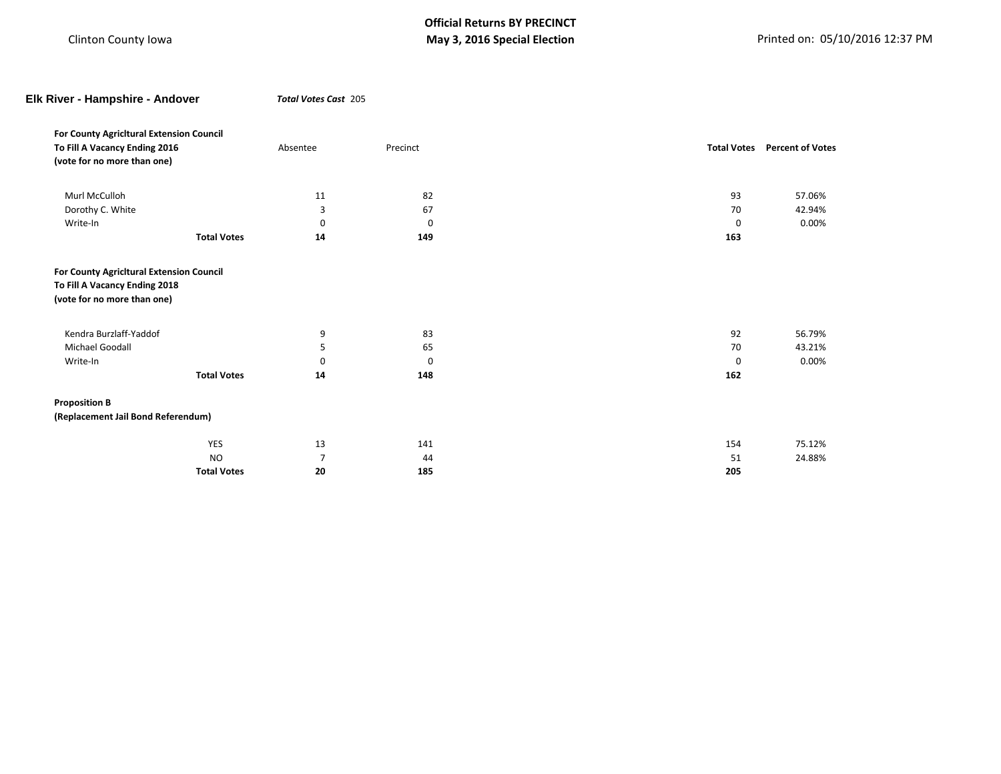| Elk River - Hampshire - Andover                              |                    | Total Votes Cast 205 |          |                    |                         |
|--------------------------------------------------------------|--------------------|----------------------|----------|--------------------|-------------------------|
| For County Agricitural Extension Council                     |                    |                      |          |                    |                         |
| To Fill A Vacancy Ending 2016                                |                    | Absentee             | Precinct | <b>Total Votes</b> | <b>Percent of Votes</b> |
| (vote for no more than one)                                  |                    |                      |          |                    |                         |
| Murl McCulloh                                                |                    | 11                   | 82       | 93                 | 57.06%                  |
| Dorothy C. White                                             |                    | 3                    | 67       | 70                 | 42.94%                  |
| Write-In                                                     |                    | 0                    | 0        | 0                  | 0.00%                   |
|                                                              | <b>Total Votes</b> | 14                   | 149      | 163                |                         |
| To Fill A Vacancy Ending 2018<br>(vote for no more than one) |                    |                      |          |                    |                         |
| Kendra Burzlaff-Yaddof                                       |                    | 9                    | 83       | 92                 | 56.79%                  |
| Michael Goodall                                              |                    | 5                    | 65       | 70                 | 43.21%                  |
| Write-In                                                     |                    | 0                    | 0        | $\mathbf 0$        | 0.00%                   |
|                                                              | <b>Total Votes</b> | 14                   | 148      | 162                |                         |
| <b>Proposition B</b>                                         |                    |                      |          |                    |                         |
| (Replacement Jail Bond Referendum)                           |                    |                      |          |                    |                         |
|                                                              |                    |                      |          |                    |                         |
|                                                              | YES                | 13                   | 141      | 154                | 75.12%                  |
|                                                              | <b>NO</b>          | $\overline{7}$       | 44       | 51                 | 24.88%                  |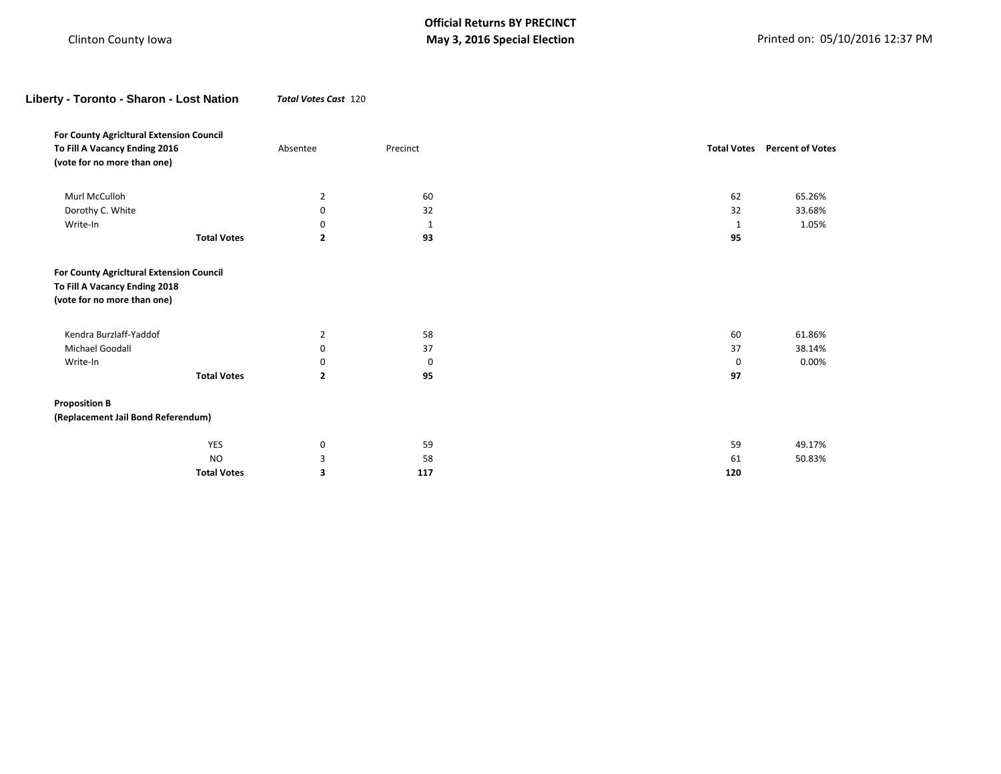**Liberty - Toronto - Sharon - Lost Nation** *Total Votes Cast* 120

| For County Agricitural Extension Council                                                                 |                    |                |          |     |                                     |
|----------------------------------------------------------------------------------------------------------|--------------------|----------------|----------|-----|-------------------------------------|
| To Fill A Vacancy Ending 2016                                                                            |                    | Absentee       | Precinct |     | <b>Total Votes</b> Percent of Votes |
| (vote for no more than one)                                                                              |                    |                |          |     |                                     |
| Murl McCulloh                                                                                            |                    | 2              | 60       | 62  | 65.26%                              |
| Dorothy C. White                                                                                         |                    | 0              | 32       | 32  | 33.68%                              |
| Write-In                                                                                                 |                    | ŋ              | 1        | 1   | 1.05%                               |
|                                                                                                          | <b>Total Votes</b> | $\overline{2}$ | 93       | 95  |                                     |
| For County Agricitural Extension Council<br>To Fill A Vacancy Ending 2018<br>(vote for no more than one) |                    |                |          |     |                                     |
| Kendra Burzlaff-Yaddof                                                                                   |                    | $\overline{2}$ | 58       | 60  | 61.86%                              |
| Michael Goodall                                                                                          |                    | $\Omega$       | 37       | 37  | 38.14%                              |
| Write-In                                                                                                 |                    | 0              | 0        | 0   | 0.00%                               |
|                                                                                                          | <b>Total Votes</b> | $\overline{2}$ | 95       | 97  |                                     |
| <b>Proposition B</b>                                                                                     |                    |                |          |     |                                     |
| (Replacement Jail Bond Referendum)                                                                       |                    |                |          |     |                                     |
|                                                                                                          | <b>YES</b>         | 0              | 59       | 59  | 49.17%                              |
|                                                                                                          | <b>NO</b>          | 3              | 58       | 61  | 50.83%                              |
|                                                                                                          | <b>Total Votes</b> | 3              | 117      | 120 |                                     |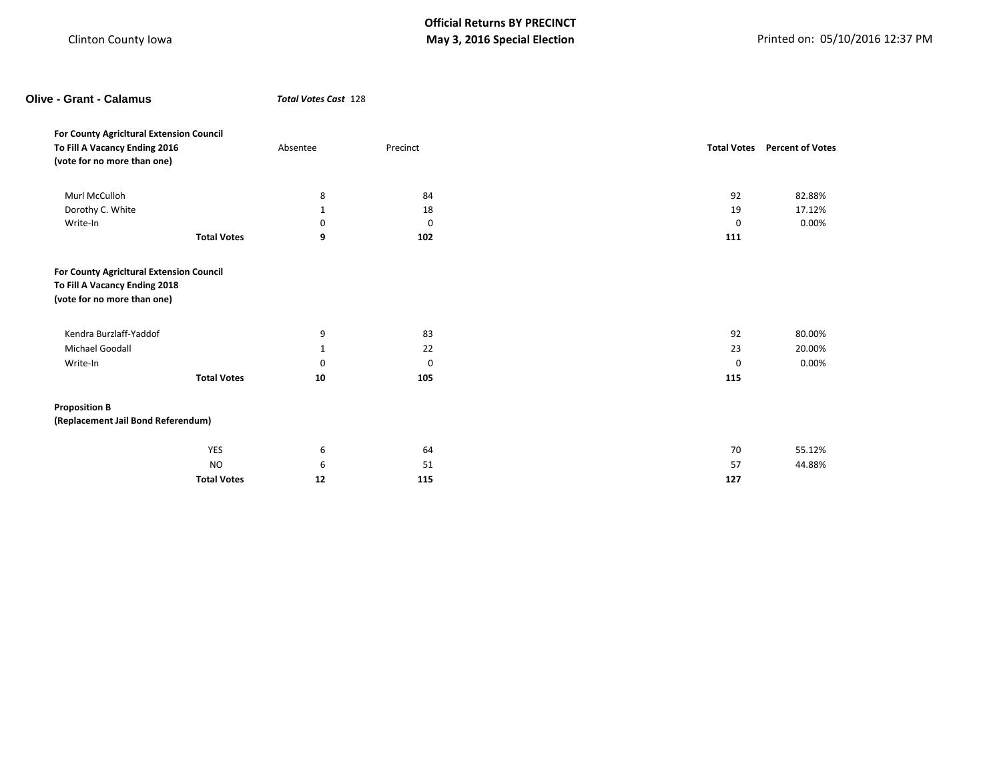| <b>Olive - Grant - Calamus</b>                                                                           |                    | Total Votes Cast 128 |          |    |     |                                     |
|----------------------------------------------------------------------------------------------------------|--------------------|----------------------|----------|----|-----|-------------------------------------|
| For County Agricitural Extension Council<br>To Fill A Vacancy Ending 2016<br>(vote for no more than one) |                    | Absentee             | Precinct |    |     | <b>Total Votes</b> Percent of Votes |
| Murl McCulloh                                                                                            |                    | 8                    |          | 84 | 92  | 82.88%                              |
| Dorothy C. White                                                                                         |                    | $\mathbf{1}$         |          | 18 | 19  | 17.12%                              |
| Write-In                                                                                                 |                    | 0                    |          | 0  | 0   | 0.00%                               |
|                                                                                                          | <b>Total Votes</b> | 9                    | 102      |    | 111 |                                     |
| (vote for no more than one)<br>Kendra Burzlaff-Yaddof                                                    |                    | 9                    |          | 83 | 92  | 80.00%                              |
| Michael Goodall                                                                                          |                    | $\mathbf{1}$         |          | 22 | 23  | 20.00%                              |
| Write-In                                                                                                 |                    | 0                    |          | 0  | 0   | 0.00%                               |
|                                                                                                          | <b>Total Votes</b> | 10                   | 105      |    | 115 |                                     |
| <b>Proposition B</b>                                                                                     |                    |                      |          |    |     |                                     |
| (Replacement Jail Bond Referendum)                                                                       |                    |                      |          |    |     |                                     |
|                                                                                                          | YES                | 6                    |          | 64 | 70  | 55.12%                              |
|                                                                                                          | <b>NO</b>          | 6                    |          | 51 | 57  | 44.88%                              |
|                                                                                                          | <b>Total Votes</b> | 12                   | 115      |    | 127 |                                     |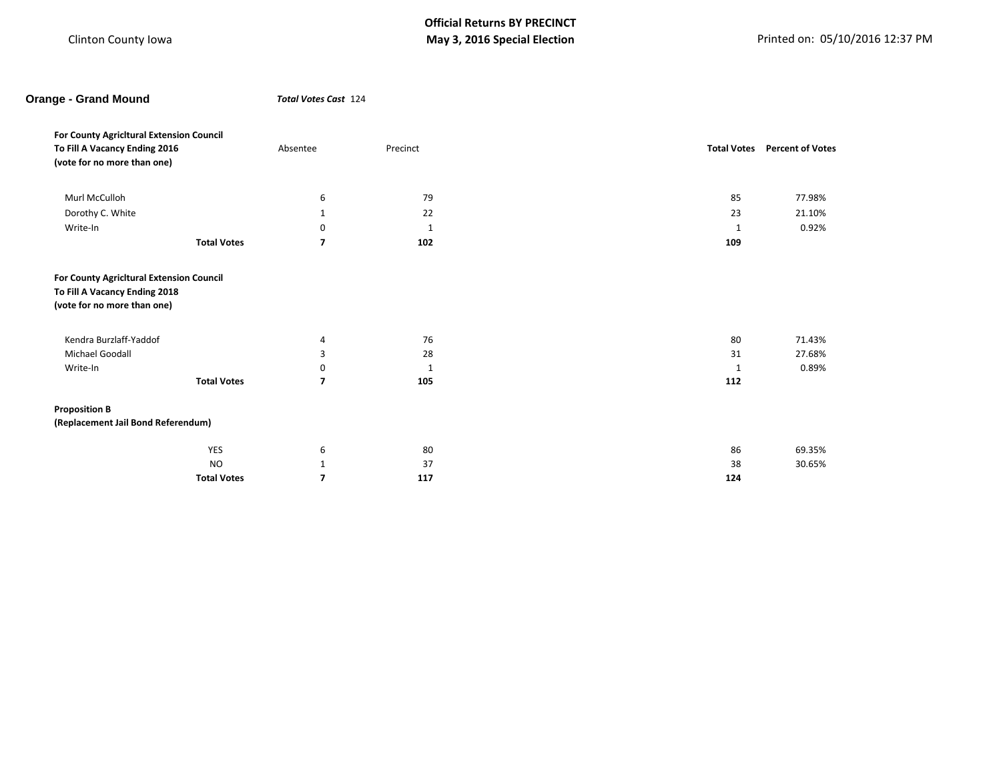# **Orange - Grand Mound** *Total Votes Cast* 124

| For County Agricitural Extension Council |                    |                          |              |                    |                         |
|------------------------------------------|--------------------|--------------------------|--------------|--------------------|-------------------------|
| To Fill A Vacancy Ending 2016            |                    | Absentee                 | Precinct     | <b>Total Votes</b> | <b>Percent of Votes</b> |
| (vote for no more than one)              |                    |                          |              |                    |                         |
|                                          |                    |                          |              |                    |                         |
| Murl McCulloh                            |                    | 6                        | 79           | 85                 | 77.98%                  |
| Dorothy C. White                         |                    | $\mathbf{1}$             | 22           | 23                 | 21.10%                  |
| Write-In                                 |                    | 0                        | $\mathbf 1$  | 1                  | 0.92%                   |
|                                          | <b>Total Votes</b> | 7                        | 102          | 109                |                         |
|                                          |                    |                          |              |                    |                         |
|                                          |                    |                          |              |                    |                         |
| For County Agricitural Extension Council |                    |                          |              |                    |                         |
| To Fill A Vacancy Ending 2018            |                    |                          |              |                    |                         |
| (vote for no more than one)              |                    |                          |              |                    |                         |
|                                          |                    |                          |              |                    |                         |
| Kendra Burzlaff-Yaddof                   |                    | 4                        | 76           | 80                 | 71.43%                  |
| Michael Goodall                          |                    | 3                        | 28           | 31                 | 27.68%                  |
| Write-In                                 |                    | 0                        | $\mathbf{1}$ | 1                  | 0.89%                   |
|                                          | <b>Total Votes</b> | 7                        | 105          | 112                |                         |
| <b>Proposition B</b>                     |                    |                          |              |                    |                         |
| (Replacement Jail Bond Referendum)       |                    |                          |              |                    |                         |
|                                          |                    |                          |              |                    |                         |
|                                          | <b>YES</b>         | 6                        | 80           | 86                 | 69.35%                  |
|                                          | <b>NO</b>          | $\mathbf{1}$             | 37           | 38                 | 30.65%                  |
|                                          | <b>Total Votes</b> | $\overline{\phantom{a}}$ | 117          | 124                |                         |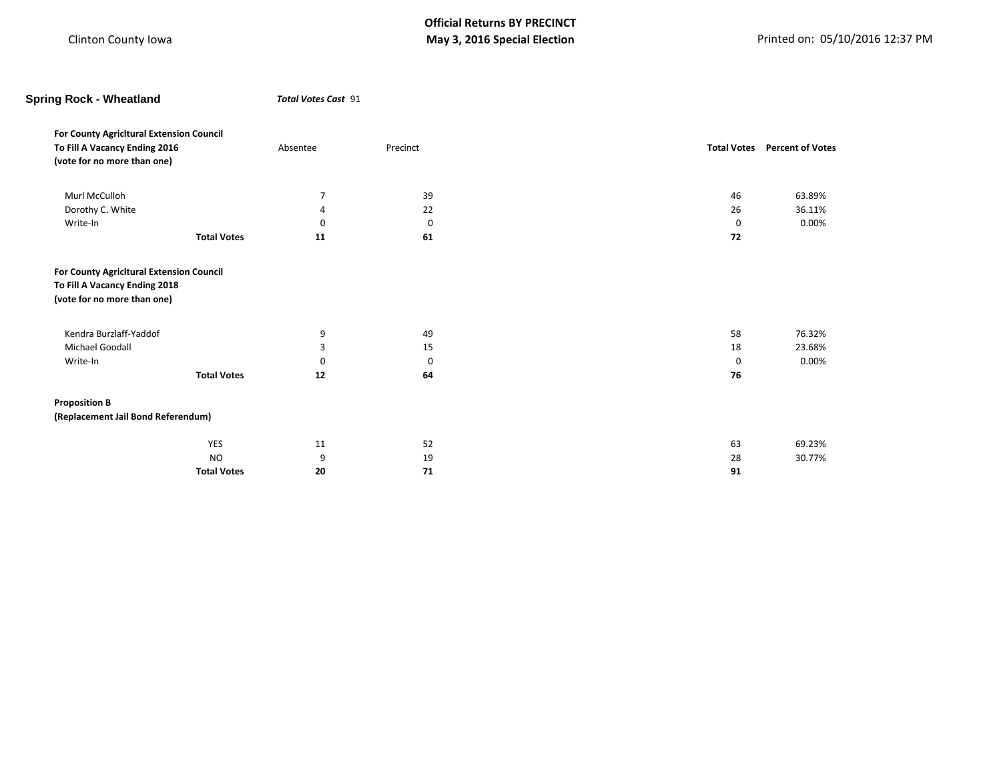| <b>Spring Rock - Wheatland</b>                                                                           |                    | <b>Total Votes Cast 91</b> |          |   |    |                                     |
|----------------------------------------------------------------------------------------------------------|--------------------|----------------------------|----------|---|----|-------------------------------------|
| For County Agricitural Extension Council<br>To Fill A Vacancy Ending 2016<br>(vote for no more than one) |                    | Absentee                   | Precinct |   |    | <b>Total Votes</b> Percent of Votes |
| Murl McCulloh                                                                                            |                    | $\overline{7}$             | 39       |   | 46 | 63.89%                              |
| Dorothy C. White                                                                                         |                    | 4                          | 22       |   | 26 | 36.11%                              |
| Write-In                                                                                                 |                    | $\Omega$                   |          | 0 | 0  | 0.00%                               |
|                                                                                                          | <b>Total Votes</b> | 11                         | 61       |   | 72 |                                     |
| (vote for no more than one)                                                                              |                    |                            |          |   |    |                                     |
| Kendra Burzlaff-Yaddof                                                                                   |                    | 9                          | 49       |   | 58 | 76.32%                              |
| Michael Goodall                                                                                          |                    | 3                          | 15       |   | 18 | 23.68%                              |
| Write-In                                                                                                 |                    | 0                          |          | 0 | 0  | 0.00%                               |
|                                                                                                          | <b>Total Votes</b> | 12                         | 64       |   | 76 |                                     |
| <b>Proposition B</b>                                                                                     |                    |                            |          |   |    |                                     |
| (Replacement Jail Bond Referendum)                                                                       |                    |                            |          |   |    |                                     |
|                                                                                                          | YES                | 11                         | 52       |   | 63 | 69.23%                              |
|                                                                                                          | <b>NO</b>          | 9                          | 19       |   | 28 | 30.77%                              |
|                                                                                                          | <b>Total Votes</b> | 20                         | 71       |   | 91 |                                     |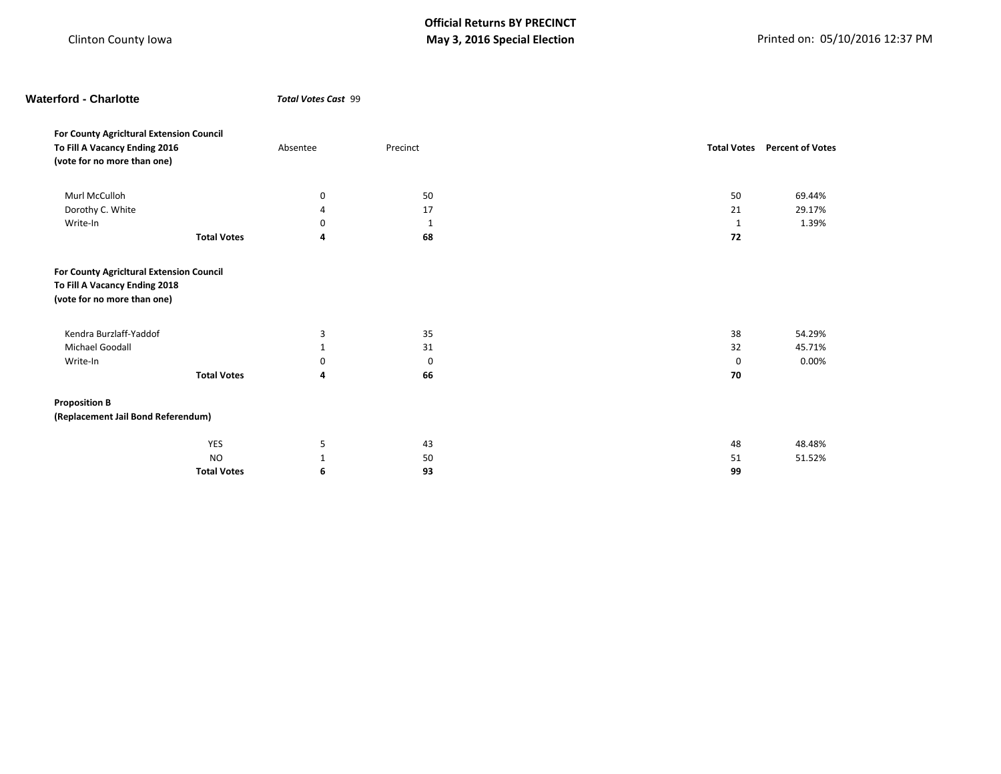| <b>Waterford - Charlotte</b>                                 |                    | <b>Total Votes Cast 99</b> |             |  |    |                                     |  |
|--------------------------------------------------------------|--------------------|----------------------------|-------------|--|----|-------------------------------------|--|
| For County Agricitural Extension Council                     |                    |                            |             |  |    |                                     |  |
| To Fill A Vacancy Ending 2016<br>(vote for no more than one) |                    | Absentee                   | Precinct    |  |    | <b>Total Votes</b> Percent of Votes |  |
| Murl McCulloh                                                |                    | 0                          | 50          |  | 50 | 69.44%                              |  |
| Dorothy C. White                                             |                    | Δ                          | 17          |  | 21 | 29.17%                              |  |
| Write-In                                                     |                    | 0                          | 1           |  | 1  | 1.39%                               |  |
|                                                              | <b>Total Votes</b> | 4                          | 68          |  | 72 |                                     |  |
| (vote for no more than one)                                  |                    |                            |             |  |    |                                     |  |
| Kendra Burzlaff-Yaddof                                       |                    | 3                          | 35          |  | 38 | 54.29%                              |  |
| Michael Goodall                                              |                    | $\mathbf{1}$               | 31          |  | 32 | 45.71%                              |  |
| Write-In                                                     |                    | 0                          | $\mathbf 0$ |  | 0  | 0.00%                               |  |
|                                                              | <b>Total Votes</b> | 4                          | 66          |  | 70 |                                     |  |
| <b>Proposition B</b>                                         |                    |                            |             |  |    |                                     |  |
| (Replacement Jail Bond Referendum)                           |                    |                            |             |  |    |                                     |  |
|                                                              | YES                | 5                          | 43          |  | 48 | 48.48%                              |  |
|                                                              | <b>NO</b>          | $\mathbf{1}$               | 50          |  | 51 | 51.52%                              |  |
|                                                              | <b>Total Votes</b> | 6                          | 93          |  | 99 |                                     |  |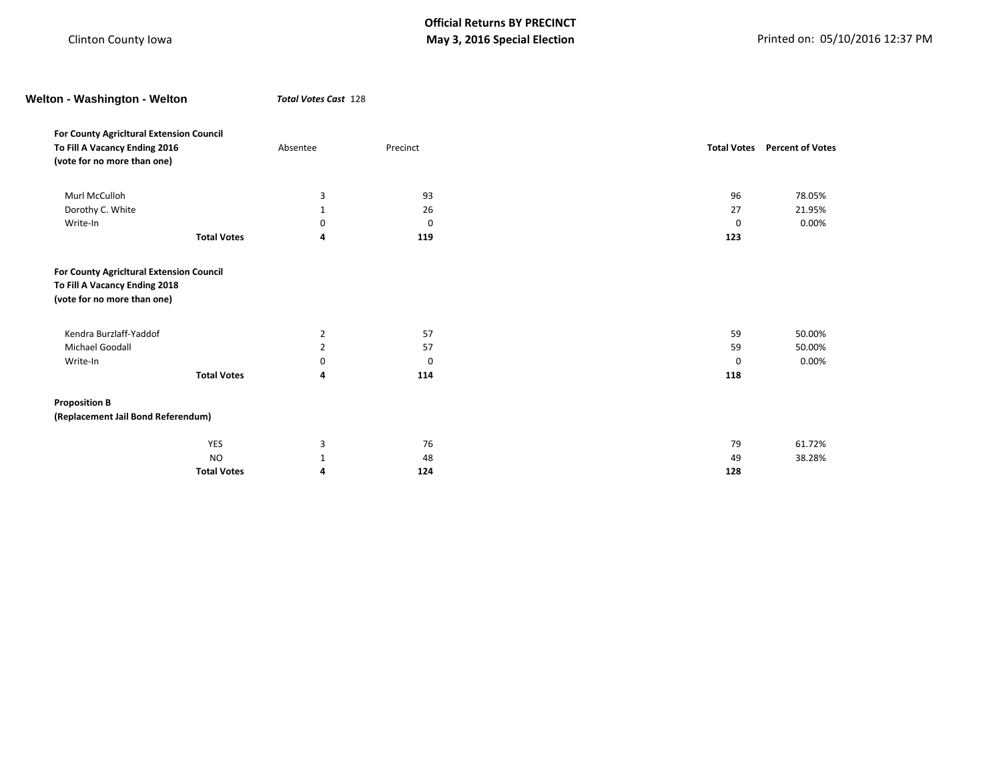| Welton - Washington - Welton             | <b>Total Votes Cast 128</b> |          |                    |                         |
|------------------------------------------|-----------------------------|----------|--------------------|-------------------------|
| For County Agricitural Extension Council |                             |          |                    |                         |
| To Fill A Vacancy Ending 2016            | Absentee                    | Precinct | <b>Total Votes</b> | <b>Percent of Votes</b> |
| (vote for no more than one)              |                             |          |                    |                         |
| Murl McCulloh                            | 3                           | 93       | 96                 | 78.05%                  |
| Dorothy C. White                         | $\mathbf{1}$                | 26       | 27                 | 21.95%                  |
| Write-In                                 | 0                           | 0        | 0                  | 0.00%                   |
| <b>Total Votes</b>                       | 4                           | 119      | 123                |                         |
| (vote for no more than one)              |                             |          |                    |                         |
| Kendra Burzlaff-Yaddof                   | $\overline{2}$              | 57       | 59                 | 50.00%                  |
| Michael Goodall                          | $\overline{2}$              | 57       | 59                 | 50.00%                  |
| Write-In                                 | 0                           | 0        | 0                  | 0.00%                   |
| <b>Total Votes</b>                       | 4                           | 114      | 118                |                         |
| <b>Proposition B</b>                     |                             |          |                    |                         |
| (Replacement Jail Bond Referendum)       |                             |          |                    |                         |
| YES                                      | 3                           | 76       | 79                 | 61.72%                  |
| <b>NO</b>                                | 1                           | 48       | 49                 | 38.28%                  |
| <b>Total Votes</b>                       | 4                           | 124      | 128                |                         |